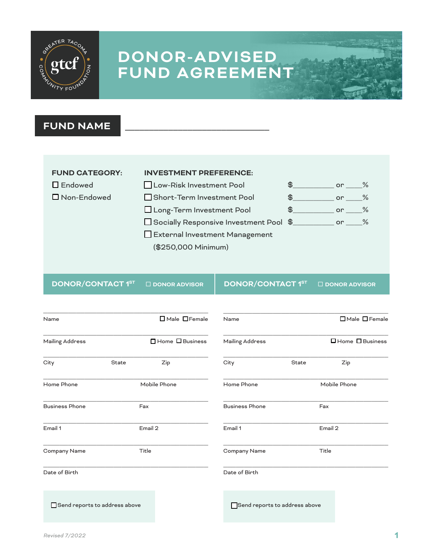

### **FUND NAME**



**DONOR/CONTACT 1<sup>ST</sup> □ DONOR ADVISOR │ DONOR/CONTACT 1<sup>ST</sup> □ DONOR ADVISOR** 

| Name                          |         | $\Box$ Male $\Box$ Female     | Name                  |       | $\Box$ Male $\Box$ Female |  |
|-------------------------------|---------|-------------------------------|-----------------------|-------|---------------------------|--|
| Mailing Address               |         | □ Home □ Business             | Mailing Address       |       | □ Home □ Business         |  |
| City                          | State   | Zip                           | City                  | State | Zip                       |  |
| Home Phone                    |         | Mobile Phone                  | Home Phone            |       | Mobile Phone              |  |
| <b>Business Phone</b>         | Fax     |                               | <b>Business Phone</b> |       | Fax                       |  |
| Email 1                       | Email 2 |                               | Email 1               |       | Email 2                   |  |
| Company Name                  | Title   |                               | Company Name          |       | Title                     |  |
| Date of Birth                 |         |                               | Date of Birth         |       |                           |  |
| Send reports to address above |         | Send reports to address above |                       |       |                           |  |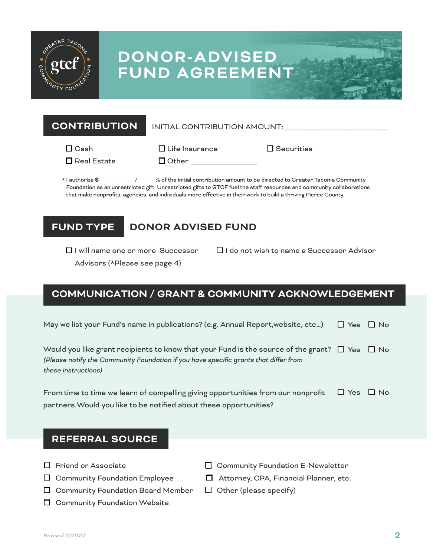

**CONTRIBUTION** INITIAL CONTRIBUTION AMOUNT: \_\_\_\_\_\_\_\_\_\_\_\_\_\_\_\_\_\_\_\_\_\_\_\_\_

 $\Box$  Cash

 $\Box$  Life Insurance  $\Box$  Securities

 $\Box$  Real Estate  $\Box$  Other

\* I authorize \$ \_\_\_\_\_\_\_\_\_\_\_ /\_\_\_\_\_\_% of the initial contribution amount to be directed to Greater Tacoma Community Foundation as an unrestricted gift. Unrestricted gifts to GTCF fuel the staff resources and community collaborations that make nonprofits, agencies, and individuals more effective in their work to build a thriving Pierce County.

## **FUND TYPE**

## **DONOR ADVISED FUND**

□ I will name one or more Successor

 $\Box$  I do not wish to name a Successor Advisor

Advisors (\*Please see page 4)

## **COMMUNICATION / GRANT & COMMUNITY ACKNOWLEDGEMENT**

|  |  |  |  | May we list your Fund's name in publications? (e.g. Annual Report, website, etc) $\Box$ Yes $\Box$ No |
|--|--|--|--|-------------------------------------------------------------------------------------------------------|
|--|--|--|--|-------------------------------------------------------------------------------------------------------|

Would you like grant recipients to know that your Fund is the source of the grant?  $\quad \Box \,$  Yes  $\quad \Box \,$  No *(Please notify the Community Foundation if you have specific grants that differ from these instructions)*

| From time to time we learn of compelling giving opportunities from our nonprofit $\Box$ Yes $\Box$ No |  |
|-------------------------------------------------------------------------------------------------------|--|
| partners. Would you like to be notified about these opportunities?                                    |  |

### **REFERRAL SOURCE**

- $\square$  Friend or Associate
- $\Box$  Community Foundation Employee
- $\Box$  Community Foundation Board Member
- $\Box$  Community Foundation Website
- $\Box$  Community Foundation E-Newsletter
- □ Attorney, CPA, Financial Planner, etc.
- $\Box$  Other (please specify)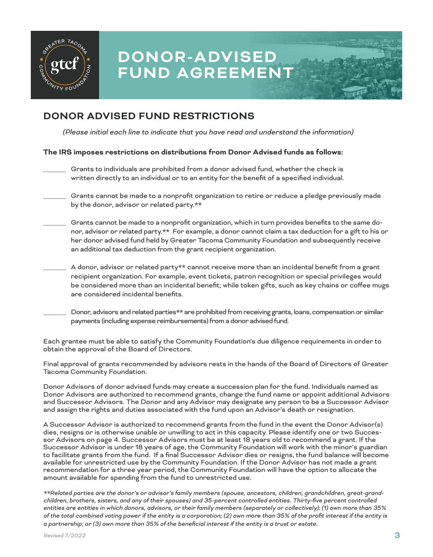

### **DONOR ADVISED FUND RESTRICTIONS**

*(Please initial each line to indicate that you have read and understand the information)*

### **The IRS imposes restrictions on distributions from Donor Advised funds as follows:**

- \_\_\_\_\_\_ Grants to individuals are prohibited from a donor advised fund, whether the check is written directly to an individual or to an entity for the benefit of a specified individual.
- Grants cannot be made to a nonprofit organization to retire or reduce a pledge previously made by the donor, advisor or related party.\*\*
- Grants cannot be made to a nonprofit organization, which in turn provides benefits to the same donor, advisor or related party.\*\* For example, a donor cannot claim a tax deduction for a gift to his or her donor advised fund held by Greater Tacoma Community Foundation and subsequently receive an additional tax deduction from the grant recipient organization.
- A donor, advisor or related party\*\* cannot receive more than an incidental benefit from a grant recipient organization. For example, event tickets, patron recognition or special privileges would be considered more than an incidental benefit; while token gifts, such as key chains or coffee mugs are considered incidental benefits.
- Donor, advisors and related parties\*\* are prohibited from receiving grants, loans, compensation or similar payments (including expense reimbursements) from a donor advised fund.

Each grantee must be able to satisfy the Community Foundation's due diligence requirements in order to obtain the approval of the Board of Directors.

Final approval of grants recommended by advisors rests in the hands of the Board of Directors of Greater Tacoma Community Foundation.

Donor Advisors of donor advised funds may create a succession plan for the fund. Individuals named as Donor Advisors are authorized to recommend grants, change the fund name or appoint additional Advisors and Successor Advisors. The Donor and any Advisor may designate any person to be a Successor Advisor and assign the rights and duties associated with the fund upon an Advisor's death or resignation.

A Successor Advisor is authorized to recommend grants from the fund in the event the Donor Advisor(s) dies, resigns or is otherwise unable or unwilling to act in this capacity. Please identify one or two Successor Advisors on page 4. Successor Advisors must be at least 18 years old to recommend a grant. If the Successor Advisor is under 18 years of age, the Community Foundation will work with the minor's guardian to facilitate grants from the fund. If a final Successor Advisor dies or resigns, the fund balance will become available for unrestricted use by the Community Foundation. If the Donor Advisor has not made a grant recommendation for a three year period, the Community Foundation will have the option to allocate the amount available for spending from the fund to unrestricted use.

*\*\*Related parties are the donor's or advisor's family members (spouse, ancestors, children, grandchildren, great-grandchildren, brothers, sisters, and any of their spouses) and 35-percent controlled entities. Thirty-five percent controlled entities are entities in which donors, advisors, or their family members (separately or collectively): (1) own more than 35% of the total combined voting power if the entity is a corporation; (2) own more than 35% of the profit interest if the entity is a partnership; or (3) own more than 35% of the beneficial interest if the entity is a trust or estate.*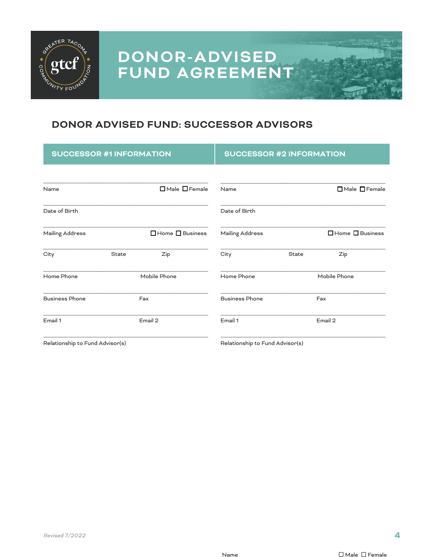

### **DONOR ADVISED FUND: SUCCESSOR ADVISORS**

| <b>SUCCESSOR #1 INFORMATION</b>                                                                                                                                                                                                   |              |                           | <b>SUCCESSOR #2 INFORMATION</b> |              |                             |
|-----------------------------------------------------------------------------------------------------------------------------------------------------------------------------------------------------------------------------------|--------------|---------------------------|---------------------------------|--------------|-----------------------------|
| Name                                                                                                                                                                                                                              |              | $\Box$ Male $\Box$ Female | Name                            |              | □ Male □ Female             |
| Date of Birth                                                                                                                                                                                                                     |              |                           | Date of Birth                   |              |                             |
| <b>Mailing Address</b>                                                                                                                                                                                                            |              | □ Home □ Business         | <b>Mailing Address</b>          |              | $\Box$ Home $\Box$ Business |
| City                                                                                                                                                                                                                              | <b>State</b> | Zip                       | City                            | <b>State</b> | Zip                         |
| Mobile Phone<br>Home Phone                                                                                                                                                                                                        |              | Home Phone                |                                 | Mobile Phone |                             |
| <b>Business Phone</b>                                                                                                                                                                                                             |              | Fax                       | <b>Business Phone</b>           |              | Fax                         |
| Email 1                                                                                                                                                                                                                           | Email 2      |                           | Email 1                         | Email 2      |                             |
| $\mathbf{r}$ . The set of the set of the set of the set of the set of the set of the set of the set of the set of the set of the set of the set of the set of the set of the set of the set of the set of the set of the set of t |              |                           |                                 |              |                             |

Relationship to Fund Advisor(s) The Relationship to Fund Advisor(s) Relationship to Fund Advisor(s)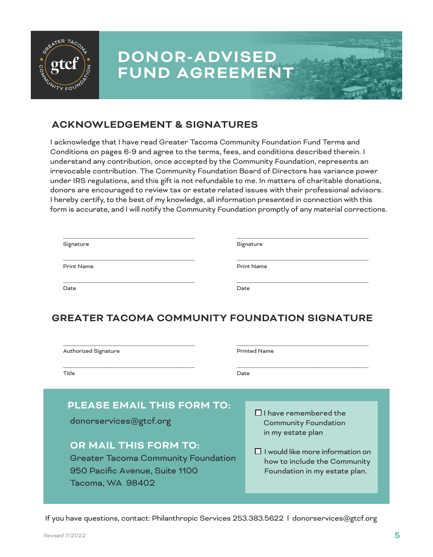

### **ACKNOWLEDGEMENT & SIGNATURES**

I acknowledge that I have read Greater Tacoma Community Foundation Fund Terms and Conditions on pages 6-9 and agree to the terms, fees, and conditions described therein. I understand any contribution, once accepted by the Community Foundation, represents an irrevocable contribution. The Community Foundation Board of Directors has variance power under IRS regulations, and this gift is not refundable to me. In matters of charitable donations, donors are encouraged to review tax or estate related issues with their professional advisors. I hereby certify, to the best of my knowledge, all information presented in connection with this form is accurate, and I will notify the Community Foundation promptly of any material corrections.

| Signature         | Signature         |
|-------------------|-------------------|
| <b>Print Name</b> | <b>Print Name</b> |
| Date              | Date              |

### **GREATER TACOMA COMMUNITY FOUNDATION SIGNATURE**

| Authorized Signature                                                                                                                                                                                   | <b>Printed Name</b>                                                                                                                                                                          |  |  |
|--------------------------------------------------------------------------------------------------------------------------------------------------------------------------------------------------------|----------------------------------------------------------------------------------------------------------------------------------------------------------------------------------------------|--|--|
| Title<br>Date                                                                                                                                                                                          |                                                                                                                                                                                              |  |  |
| <b>PLEASE EMAIL THIS FORM TO:</b><br>donorservices@gtcf.org<br><b>OR MAIL THIS FORM TO:</b><br><b>Greater Tacoma Community Foundation</b><br>950 Pacific Avenue, Suite 1100<br><b>Tacoma, WA 98402</b> | $\Box$ I have remembered the<br><b>Community Foundation</b><br>in my estate plan<br>$\Box$ I would like more information on<br>how to include the Community<br>Foundation in my estate plan. |  |  |

If you have questions, contact: Philanthropic Services 253.383.5622 l donorservices@gtcf.org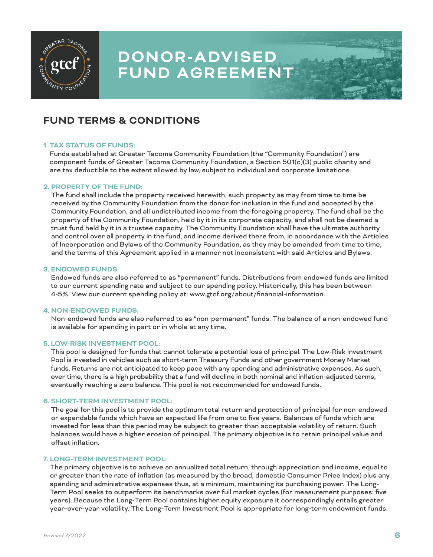

### **FUND TERMS & CONDITIONS**

#### **1. TAX STATUS OF FUNDS:**

Funds established at Greater Tacoma Community Foundation (the "Community Foundation") are component funds of Greater Tacoma Community Foundation, a Section 501(c)(3) public charity and are tax deductible to the extent allowed by law, subject to individual and corporate limitations.

#### **2. PROPERTY OF THE FUND:**

The fund shall include the property received herewith, such property as may from time to time be received by the Community Foundation from the donor for inclusion in the fund and accepted by the Community Foundation, and all undistributed income from the foregoing property. The fund shall be the property of the Community Foundation, held by it in its corporate capacity, and shall not be deemed a trust fund held by it in a trustee capacity. The Community Foundation shall have the ultimate authority and control over all property in the fund, and income derived there from, in accordance with the Articles of Incorporation and Bylaws of the Community Foundation, as they may be amended from time to time, and the terms of this Agreement applied in a manner not inconsistent with said Articles and Bylaws.

#### **3. ENDOWED FUNDS:**

Endowed funds are also referred to as "permanent" funds. Distributions from endowed funds are limited to our current spending rate and subject to our spending policy. Historically, this has been between 4-5%. View our current spending policy at: www.gtcf.org/about/financial-information.

#### **4. NON-ENDOWED FUNDS:**

Non-endowed funds are also referred to as "non-permanent" funds. The balance of a non-endowed fund is available for spending in part or in whole at any time.

#### **5. LOW-RISK INVESTMENT POOL:**

This pool is designed for funds that cannot tolerate a potential loss of principal. The Low-Risk Investment Pool is invested in vehicles such as short-term Treasury Funds and other government Money Market funds. Returns are not anticipated to keep pace with any spending and administrative expenses. As such, over time, there is a high probability that a fund will decline in both nominal and inflation-adjusted terms, eventually reaching a zero balance. This pool is not recommended for endowed funds.

#### **6. SHORT-TERM INVESTMENT POOL:**

The goal for this pool is to provide the optimum total return and protection of principal for non-endowed or expendable funds which have an expected life from one to five years. Balances of funds which are invested for less than this period may be subject to greater than acceptable volatility of return. Such balances would have a higher erosion of principal. The primary objective is to retain principal value and offset inflation.

#### **7. LONG-TERM INVESTMENT POOL:**

The primary objective is to achieve an annualized total return, through appreciation and income, equal to or greater than the rate of inflation (as measured by the broad, domestic Consumer Price Index) plus any spending and administrative expenses thus, at a minimum, maintaining its purchasing power. The Long-Term Pool seeks to outperform its benchmarks over full market cycles (for measurement purposes: five years). Because the Long-Term Pool contains higher equity exposure it correspondingly entails greater year-over-year volatility. The Long-Term Investment Pool is appropriate for long-term endowment funds.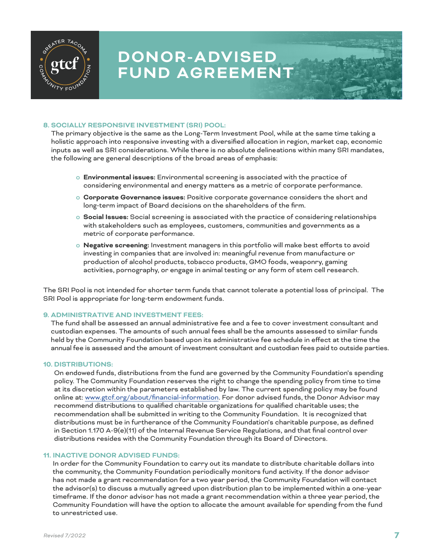

### **8. SOCIALLY RESPONSIVE INVESTMENT (SRI) POOL:**

The primary objective is the same as the Long-Term Investment Pool, while at the same time taking a holistic approach into responsive investing with a diversified allocation in region, market cap, economic inputs as well as SRI considerations. While there is no absolute delineations within many SRI mandates, the following are general descriptions of the broad areas of emphasis:

- o **Environmental issues:** Environmental screening is associated with the practice of considering environmental and energy matters as a metric of corporate performance.
- o **Corporate Governance issues:** Positive corporate governance considers the short and long-term impact of Board decisions on the shareholders of the firm.
- o **Social Issues:** Social screening is associated with the practice of considering relationships with stakeholders such as employees, customers, communities and governments as a metric of corporate performance.
- o **Negative screening:** Investment managers in this portfolio will make best efforts to avoid investing in companies that are involved in: meaningful revenue from manufacture or production of alcohol products, tobacco products, GMO foods, weaponry, gaming activities, pornography, or engage in animal testing or any form of stem cell research.

The SRI Pool is not intended for shorter term funds that cannot tolerate a potential loss of principal. The SRI Pool is appropriate for long-term endowment funds.

#### **9. ADMINISTRATIVE AND INVESTMENT FEES:**

The fund shall be assessed an annual administrative fee and a fee to cover investment consultant and custodian expenses. The amounts of such annual fees shall be the amounts assessed to similar funds held by the Community Foundation based upon its administrative fee schedule in effect at the time the annual fee is assessed and the amount of investment consultant and custodian fees paid to outside parties.

#### **10. DISTRIBUTIONS:**

On endowed funds, distributions from the fund are governed by the Community Foundation's spending policy. The Community Foundation reserves the right to change the spending policy from time to time at its discretion within the parameters established by law. The current spending policy may be found online at: www.gtcf.org/about/financial-information. For donor advised funds, the Donor Advisor may recommend distributions to qualified charitable organizations for qualified charitable uses; the recommendation shall be submitted in writing to the Community Foundation. It is recognized that distributions must be in furtherance of the Community Foundation's charitable purpose, as defined in Section 1.170 A-9(e)(11) of the Internal Revenue Service Regulations, and that final control over distributions resides with the Community Foundation through its Board of Directors.

#### **11. INACTIVE DONOR ADVISED FUNDS:**

In order for the Community Foundation to carry out its mandate to distribute charitable dollars into the community, the Community Foundation periodically monitors fund activity. If the donor advisor has not made a grant recommendation for a two year period, the Community Foundation will contact the advisor(s) to discuss a mutually agreed upon distribution plan to be implemented within a one-year timeframe. If the donor advisor has not made a grant recommendation within a three year period, the Community Foundation will have the option to allocate the amount available for spending from the fund to unrestricted use.